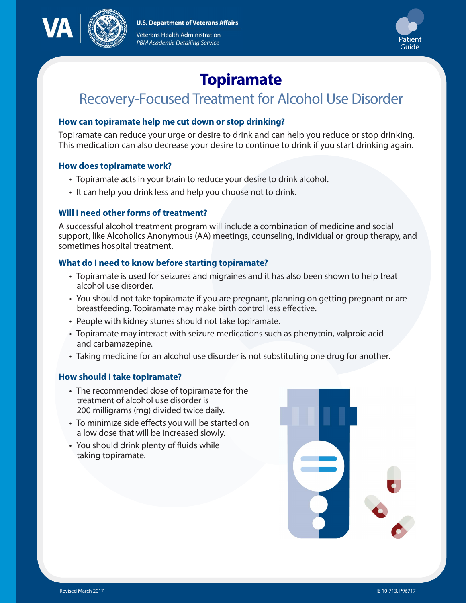**U.S. Department of Veterans Affairs** 



Veterans Health Administration **PBM Academic Detailing Service** 



# **Topiramate**

# Recovery-Focused Treatment for Alcohol Use Disorder

# **How can topiramate help me cut down or stop drinking?**

Topiramate can reduce your urge or desire to drink and can help you reduce or stop drinking. This medication can also decrease your desire to continue to drink if you start drinking again.

#### **How does topiramate work?**

- Topiramate acts in your brain to reduce your desire to drink alcohol.
- It can help you drink less and help you choose not to drink.

#### **Will I need other forms of treatment?**

A successful alcohol treatment program will include a combination of medicine and social support, like Alcoholics Anonymous (AA) meetings, counseling, individual or group therapy, and sometimes hospital treatment.

#### **What do I need to know before starting topiramate?**

- Topiramate is used for seizures and migraines and it has also been shown to help treat alcohol use disorder.
- You should not take topiramate if you are pregnant, planning on getting pregnant or are breastfeeding. Topiramate may make birth control less effective.
- People with kidney stones should not take topiramate.
- Topiramate may interact with seizure medications such as phenytoin, valproic acid and carbamazepine.
- Taking medicine for an alcohol use disorder is not substituting one drug for another.

# **How should I take topiramate?**

- The recommended dose of topiramate for the treatment of alcohol use disorder is 200 milligrams (mg) divided twice daily.
- To minimize side effects you will be started on a low dose that will be increased slowly.
- You should drink plenty of fluids while taking topiramate.